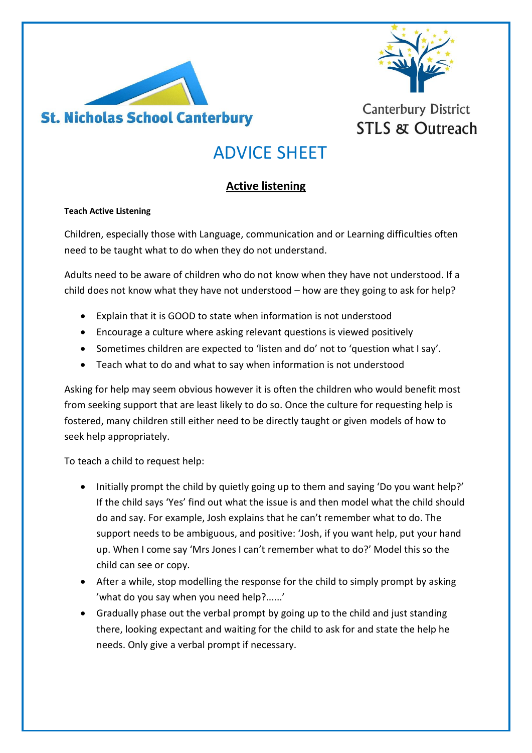



## **Canterbury District STLS & Outreach**

## ADVICE SHEET

### **Active listening**

#### **Teach Active Listening**

Children, especially those with Language, communication and or Learning difficulties often need to be taught what to do when they do not understand.

Adults need to be aware of children who do not know when they have not understood. If a child does not know what they have not understood – how are they going to ask for help?

- Explain that it is GOOD to state when information is not understood
- Encourage a culture where asking relevant questions is viewed positively
- Sometimes children are expected to 'listen and do' not to 'question what I say'.
- Teach what to do and what to say when information is not understood

Asking for help may seem obvious however it is often the children who would benefit most from seeking support that are least likely to do so. Once the culture for requesting help is fostered, many children still either need to be directly taught or given models of how to seek help appropriately.

To teach a child to request help:

- Initially prompt the child by quietly going up to them and saying 'Do you want help?' If the child says 'Yes' find out what the issue is and then model what the child should do and say. For example, Josh explains that he can't remember what to do. The support needs to be ambiguous, and positive: 'Josh, if you want help, put your hand up. When I come say 'Mrs Jones I can't remember what to do?' Model this so the child can see or copy.
- After a while, stop modelling the response for the child to simply prompt by asking 'what do you say when you need help?......'
- Gradually phase out the verbal prompt by going up to the child and just standing there, looking expectant and waiting for the child to ask for and state the help he needs. Only give a verbal prompt if necessary.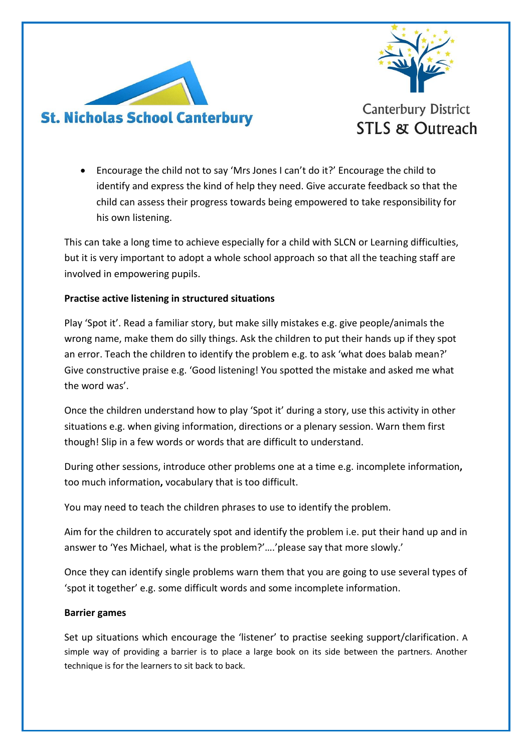



 Encourage the child not to say 'Mrs Jones I can't do it?' Encourage the child to identify and express the kind of help they need. Give accurate feedback so that the child can assess their progress towards being empowered to take responsibility for his own listening.

This can take a long time to achieve especially for a child with SLCN or Learning difficulties, but it is very important to adopt a whole school approach so that all the teaching staff are involved in empowering pupils.

#### **Practise active listening in structured situations**

Play 'Spot it'. Read a familiar story, but make silly mistakes e.g. give people/animals the wrong name, make them do silly things. Ask the children to put their hands up if they spot an error. Teach the children to identify the problem e.g. to ask 'what does balab mean?' Give constructive praise e.g. 'Good listening! You spotted the mistake and asked me what the word was'.

Once the children understand how to play 'Spot it' during a story, use this activity in other situations e.g. when giving information, directions or a plenary session. Warn them first though! Slip in a few words or words that are difficult to understand.

During other sessions, introduce other problems one at a time e.g. incomplete information**,**  too much information**,** vocabulary that is too difficult.

You may need to teach the children phrases to use to identify the problem.

Aim for the children to accurately spot and identify the problem i.e. put their hand up and in answer to 'Yes Michael, what is the problem?'….'please say that more slowly.'

Once they can identify single problems warn them that you are going to use several types of 'spot it together' e.g. some difficult words and some incomplete information.

#### **Barrier games**

Set up situations which encourage the 'listener' to practise seeking support/clarification. A simple way of providing a barrier is to place a large book on its side between the partners. Another technique is for the learners to sit back to back.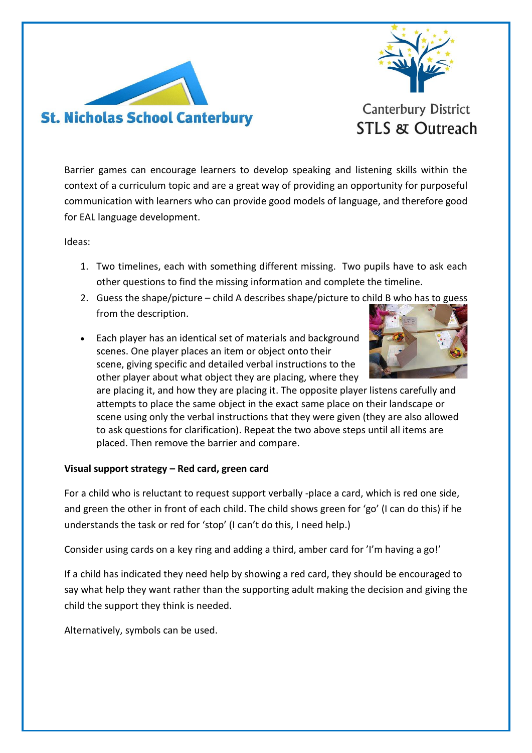



**STLS & Outreach** 

Barrier games can encourage learners to develop speaking and listening skills within the context of a curriculum topic and are a great way of providing an opportunity for purposeful communication with learners who can provide good models of language, and therefore good for EAL language development.

Ideas:

- 1. Two timelines, each with something different missing. Two pupils have to ask each other questions to find the missing information and complete the timeline.
- 2. Guess the shape/picture child A describes shape/picture to child B who has to guess from the description.
- Each player has an identical set of materials and background scenes. One player places an item or object onto their scene, giving specific and detailed verbal instructions to the other player about what object they are placing, where they



are placing it, and how they are placing it. The opposite player listens carefully and attempts to place the same object in the exact same place on their landscape or scene using only the verbal instructions that they were given (they are also allowed to ask questions for clarification). Repeat the two above steps until all items are placed. Then remove the barrier and compare.

#### **Visual support strategy – Red card, green card**

For a child who is reluctant to request support verbally -place a card, which is red one side, and green the other in front of each child. The child shows green for 'go' (I can do this) if he understands the task or red for 'stop' (I can't do this, I need help.)

Consider using cards on a key ring and adding a third, amber card for 'I'm having a go!'

If a child has indicated they need help by showing a red card, they should be encouraged to say what help they want rather than the supporting adult making the decision and giving the child the support they think is needed.

Alternatively, symbols can be used.